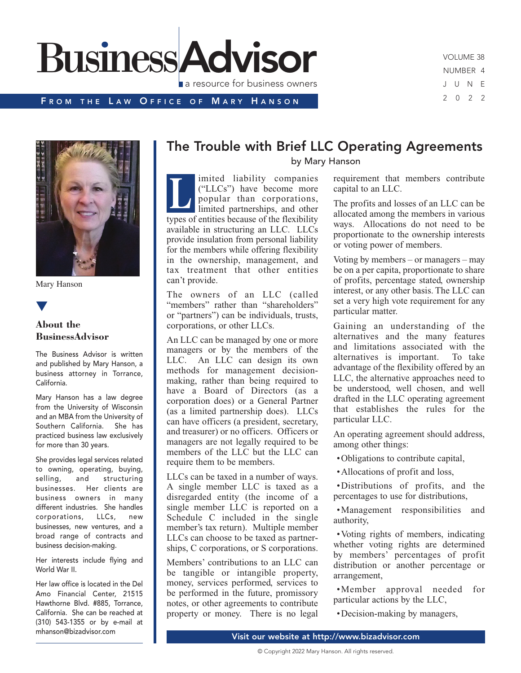

VOLUME 38 NUMBER 4 J U N E 2 0 2 2

#### FROM THE LAW OFFICE OF MARY HANSON

Mary Hanson

# **▼**

#### **About the BusinessAdvisor**

The Business Advisor is written and published by Mary Hanson, a business attorney in Torrance, California.

Mary Hanson has a law degree from the University of Wisconsin and an MBA from the University of Southern California. She has practiced business law exclusively for more than 30 years.

She provides legal services related to owning, operating, buying, selling, and structuring businesses. Her clients are business owners in many different industries. She handles corporations, LLCs, new businesses, new ventures, and a broad range of contracts and business decision-making.

Her interests include flying and World War II.

Her law office is located in the Del Amo Financial Center, 21515 Hawthorne Blvd. #885, Torrance, California. She can be reached at (310) 543-1355 or by e-mail at mhanson@bizadvisor.com

## The Trouble with Brief LLC Operating Agreements

by Mary Hanson

imited liability companies ("LLCs") have become more popular than corporations, limited partnerships, and other types of entities because of the flexibility available in structuring an LLC. LLCs provide insulation from personal liability for the members while offering flexibility in the ownership, management, and tax treatment that other entities can't provide. **L**

The owners of an LLC (called "members" rather than "shareholders" or "partners") can be individuals, trusts, corporations, or other LLCs.

An LLC can be managed by one or more managers or by the members of the LLC. An LLC can design its own methods for management decisionmaking, rather than being required to have a Board of Directors (as a corporation does) or a General Partner (as a limited partnership does). LLCs can have officers (a president, secretary, and treasurer) or no officers. Officers or managers are not legally required to be members of the LLC but the LLC can require them to be members.

LLCs can be taxed in a number of ways. A single member LLC is taxed as a disregarded entity (the income of a single member LLC is reported on a Schedule C included in the single member's tax return). Multiple member LLCs can choose to be taxed as partnerships, C corporations, or S corporations.

Members' contributions to an LLC can be tangible or intangible property, money, services performed, services to be performed in the future, promissory notes, or other agreements to contribute property or money. There is no legal requirement that members contribute capital to an LLC.

The profits and losses of an LLC can be allocated among the members in various ways. Allocations do not need to be proportionate to the ownership interests or voting power of members.

Voting by members – or managers – may be on a per capita, proportionate to share of profits, percentage stated, ownership interest, or any other basis. The LLC can set a very high vote requirement for any particular matter.

Gaining an understanding of the alternatives and the many features and limitations associated with the alternatives is important. To take advantage of the flexibility offered by an LLC, the alternative approaches need to be understood, well chosen, and well drafted in the LLC operating agreement that establishes the rules for the particular LLC.

An operating agreement should address, among other things:

•Obligations to contribute capital,

•Allocations of profit and loss,

•Distributions of profits, and the percentages to use for distributions,

•Management responsibilities and authority,

•Voting rights of members, indicating whether voting rights are determined by members' percentages of profit distribution or another percentage or arrangement,

•Member approval needed for particular actions by the LLC,

•Decision-making by managers,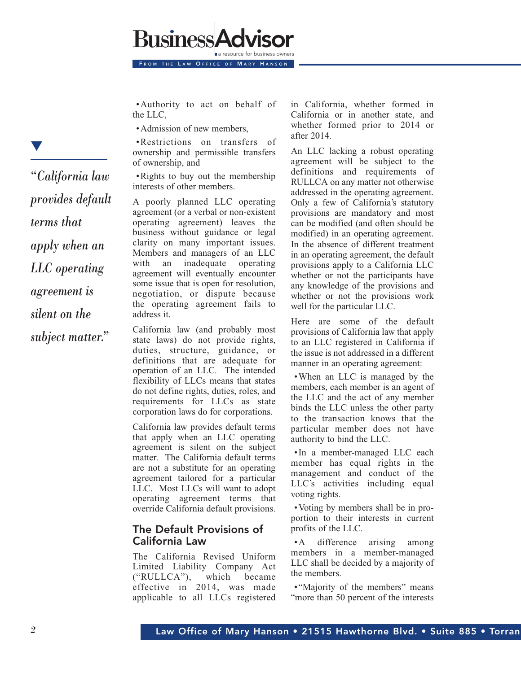•Authority to act on behalf of the LLC,

FROM THE LAW OFFICE OF MARY HANSON

•Admission of new members,

**Business** 

•Restrictions on transfers of ownership and permissible transfers of ownership, and

•Rights to buy out the membership interests of other members.

A poorly planned LLC operating agreement (or a verbal or non-existent operating agreement) leaves the business without guidance or legal clarity on many important issues. Members and managers of an LLC with an inadequate operating agreement will eventually encounter some issue that is open for resolution, negotiation, or dispute because the operating agreement fails to address it.

California law (and probably most state laws) do not provide rights, duties, structure, guidance, or definitions that are adequate for operation of an LLC. The intended flexibility of LLCs means that states do not define rights, duties, roles, and requirements for LLCs as state corporation laws do for corporations.

California law provides default terms that apply when an LLC operating agreement is silent on the subject matter. The California default terms are not a substitute for an operating agreement tailored for a particular LLC. Most LLCs will want to adopt operating agreement terms that override California default provisions.

#### The Default Provisions of California Law

The California Revised Uniform Limited Liability Company Act ("RULLCA"), which became effective in 2014, was made applicable to all LLCs registered

in California, whether formed in California or in another state, and whether formed prior to 2014 or after 2014.

An LLC lacking a robust operating agreement will be subject to the definitions and requirements of RULLCA on any matter not otherwise addressed in the operating agreement. Only a few of California's statutory provisions are mandatory and most can be modified (and often should be modified) in an operating agreement. In the absence of different treatment in an operating agreement, the default provisions apply to a California LLC whether or not the participants have any knowledge of the provisions and whether or not the provisions work well for the particular LLC.

Here are some of the default provisions of California law that apply to an LLC registered in California if the issue is not addressed in a different manner in an operating agreement:

•When an LLC is managed by the members, each member is an agent of the LLC and the act of any member binds the LLC unless the other party to the transaction knows that the particular member does not have authority to bind the LLC.

•In a member-managed LLC each member has equal rights in the management and conduct of the LLC's activities including equal voting rights.

•Voting by members shall be in proportion to their interests in current profits of the LLC.

•A difference arising among members in a member-managed LLC shall be decided by a majority of the members.

• "Majority of the members" means "more than 50 percent of the interests"

*"California law provides default terms that apply when an LLC operating agreement is silent on the subject matter."*

**▼**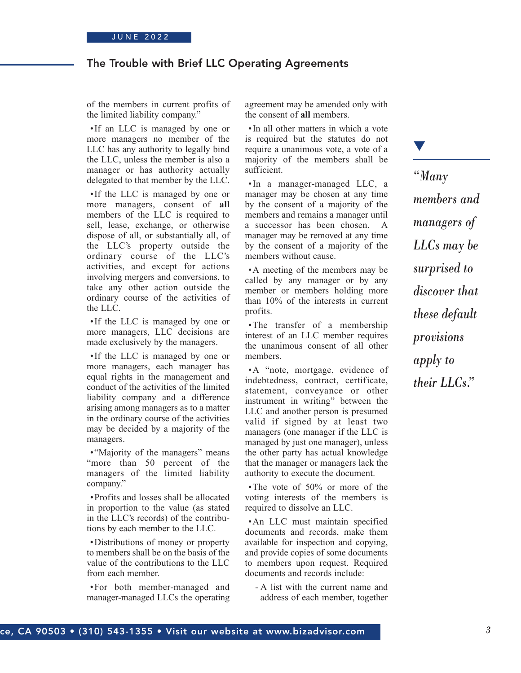### The Trouble with Brief LLC Operating Agreements

of the members in current profits of the limited liability company."

•If an LLC is managed by one or more managers no member of the LLC has any authority to legally bind the LLC, unless the member is also a manager or has authority actually delegated to that member by the LLC.

•If the LLC is managed by one or more managers, consent of **all** members of the LLC is required to sell, lease, exchange, or otherwise dispose of all, or substantially all, of the LLC's property outside the ordinary course of the LLC's activities, and except for actions involving mergers and conversions, to take any other action outside the ordinary course of the activities of the LLC.

•If the LLC is managed by one or more managers, LLC decisions are made exclusively by the managers.

•If the LLC is managed by one or more managers, each manager has equal rights in the management and conduct of the activities of the limited liability company and a difference arising among managers as to a matter in the ordinary course of the activities may be decided by a majority of the managers.

• "Majority of the managers" means "more than 50 percent of the managers of the limited liability company."

•Profits and losses shall be allocated in proportion to the value (as stated in the LLC's records) of the contributions by each member to the LLC.

•Distributions of money or property to members shall be on the basis of the value of the contributions to the LLC from each member.

•For both member-managed and manager-managed LLCs the operating agreement may be amended only with the consent of **all** members.

•In all other matters in which a vote is required but the statutes do not require a unanimous vote, a vote of a majority of the members shall be sufficient.

•In a manager-managed LLC, a manager may be chosen at any time by the consent of a majority of the members and remains a manager until a successor has been chosen. A manager may be removed at any time by the consent of a majority of the members without cause.

•A meeting of the members may be called by any manager or by any member or members holding more than 10% of the interests in current profits.

•The transfer of a membership interest of an LLC member requires the unanimous consent of all other members.

•A "note, mortgage, evidence of indebtedness, contract, certificate, statement, conveyance or other instrument in writing" between the LLC and another person is presumed valid if signed by at least two managers (one manager if the LLC is managed by just one manager), unless the other party has actual knowledge that the manager or managers lack the authority to execute the document.

•The vote of 50% or more of the voting interests of the members is required to dissolve an LLC.

•An LLC must maintain specified documents and records, make them available for inspection and copying, and provide copies of some documents to members upon request. Required documents and records include:

- A list with the current name and address of each member, together

*"Many members and managers of LLCs may be surprised to discover that these default provisions apply to their LLCs."*

**▼**